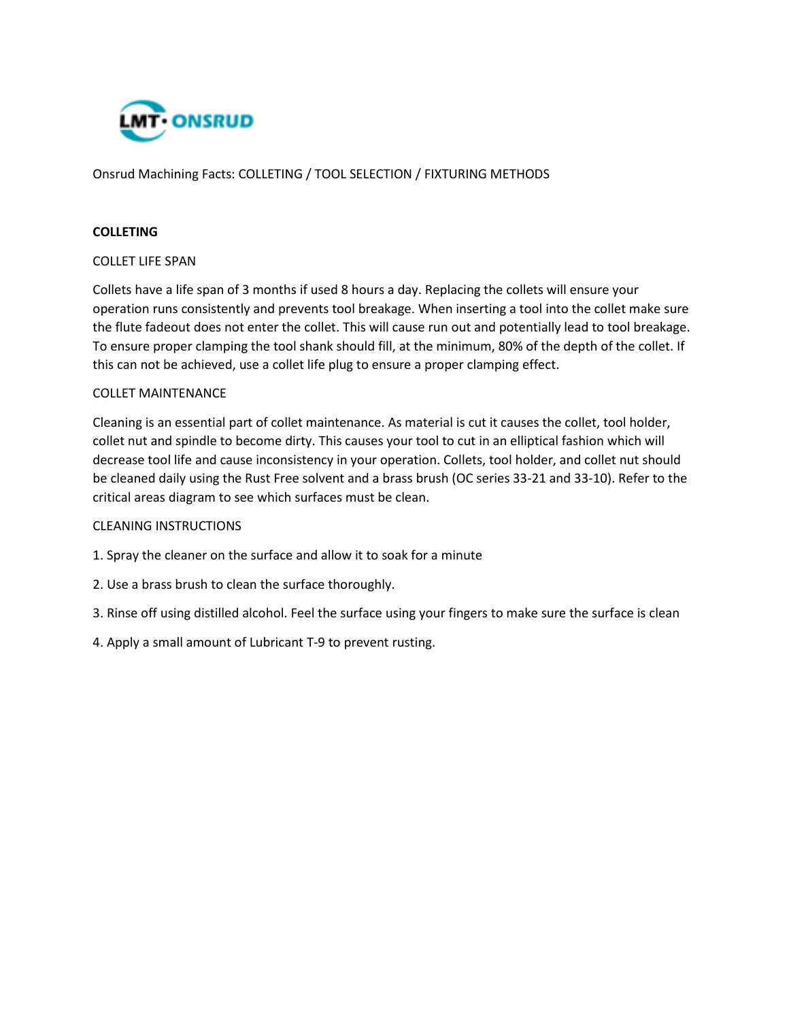

Onsrud Machining Facts: COLLETING / TOOL SELECTION / FIXTURING METHODS

## **COLLETING**

## COLLET LIFE SPAN

Collets have a life span of 3 months if used 8 hours a day. Replacing the collets will ensure your operation runs consistently and prevents tool breakage. When inserting a tool into the collet make sure the flute fadeout does not enter the collet. This will cause run out and potentially lead to tool breakage. To ensure proper clamping the tool shank should fill, at the minimum, 80% of the depth of the collet. If this can not be achieved, use a collet life plug to ensure a proper clamping effect.

## COLLET MAINTENANCE

Cleaning is an essential part of collet maintenance. As material is cut it causes the collet, tool holder, collet nut and spindle to become dirty. This causes your tool to cut in an elliptical fashion which will decrease tool life and cause inconsistency in your operation. Collets, tool holder, and collet nut should be cleaned daily using the Rust Free solvent and a brass brush (OC series 33-21 and 33-10). Refer to the critical areas diagram to see which surfaces must be clean.

## CLEANING INSTRUCTIONS

- 1. Spray the cleaner on the surface and allow it to soak for a minute
- 2. Use a brass brush to clean the surface thoroughly.
- 3. Rinse off using distilled alcohol. Feel the surface using your fingers to make sure the surface is clean
- 4. Apply a small amount of Lubricant T-9 to prevent rusting.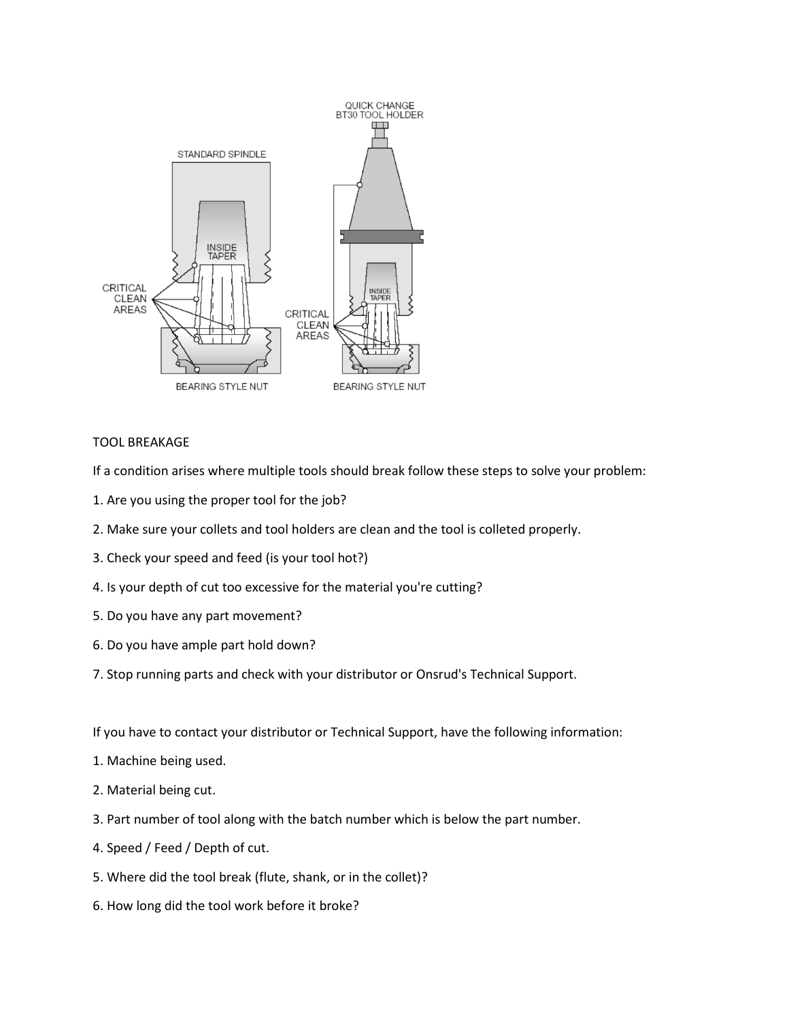

# TOOL BREAKAGE

If a condition arises where multiple tools should break follow these steps to solve your problem:

- 1. Are you using the proper tool for the job?
- 2. Make sure your collets and tool holders are clean and the tool is colleted properly.
- 3. Check your speed and feed (is your tool hot?)
- 4. Is your depth of cut too excessive for the material you're cutting?
- 5. Do you have any part movement?
- 6. Do you have ample part hold down?
- 7. Stop running parts and check with your distributor or Onsrud's Technical Support.

If you have to contact your distributor or Technical Support, have the following information:

- 1. Machine being used.
- 2. Material being cut.
- 3. Part number of tool along with the batch number which is below the part number.
- 4. Speed / Feed / Depth of cut.
- 5. Where did the tool break (flute, shank, or in the collet)?
- 6. How long did the tool work before it broke?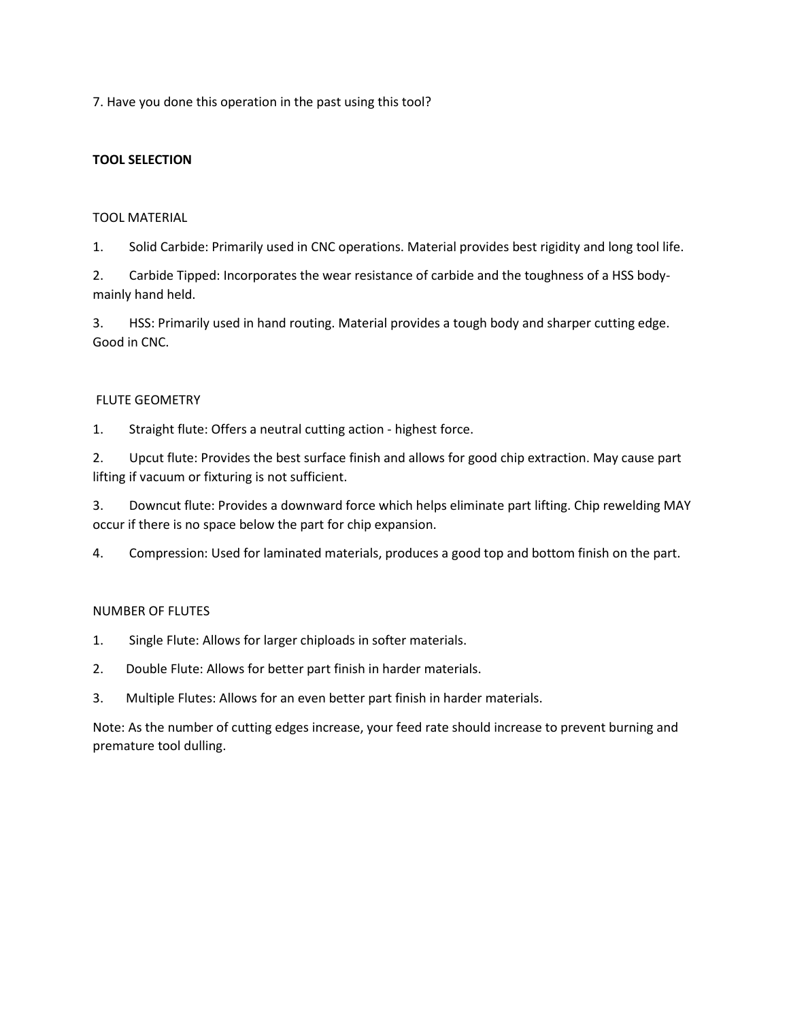7. Have you done this operation in the past using this tool?

# **TOOL SELECTION**

# TOOL MATERIAL

1. Solid Carbide: Primarily used in CNC operations. Material provides best rigidity and long tool life.

2. Carbide Tipped: Incorporates the wear resistance of carbide and the toughness of a HSS bodymainly hand held.

3. HSS: Primarily used in hand routing. Material provides a tough body and sharper cutting edge. Good in CNC.

# FLUTE GEOMETRY

1. Straight flute: Offers a neutral cutting action - highest force.

2. Upcut flute: Provides the best surface finish and allows for good chip extraction. May cause part lifting if vacuum or fixturing is not sufficient.

3. Downcut flute: Provides a downward force which helps eliminate part lifting. Chip rewelding MAY occur if there is no space below the part for chip expansion.

4. Compression: Used for laminated materials, produces a good top and bottom finish on the part.

# NUMBER OF FLUTES

- 1. Single Flute: Allows for larger chiploads in softer materials.
- 2. Double Flute: Allows for better part finish in harder materials.
- 3. Multiple Flutes: Allows for an even better part finish in harder materials.

Note: As the number of cutting edges increase, your feed rate should increase to prevent burning and premature tool dulling.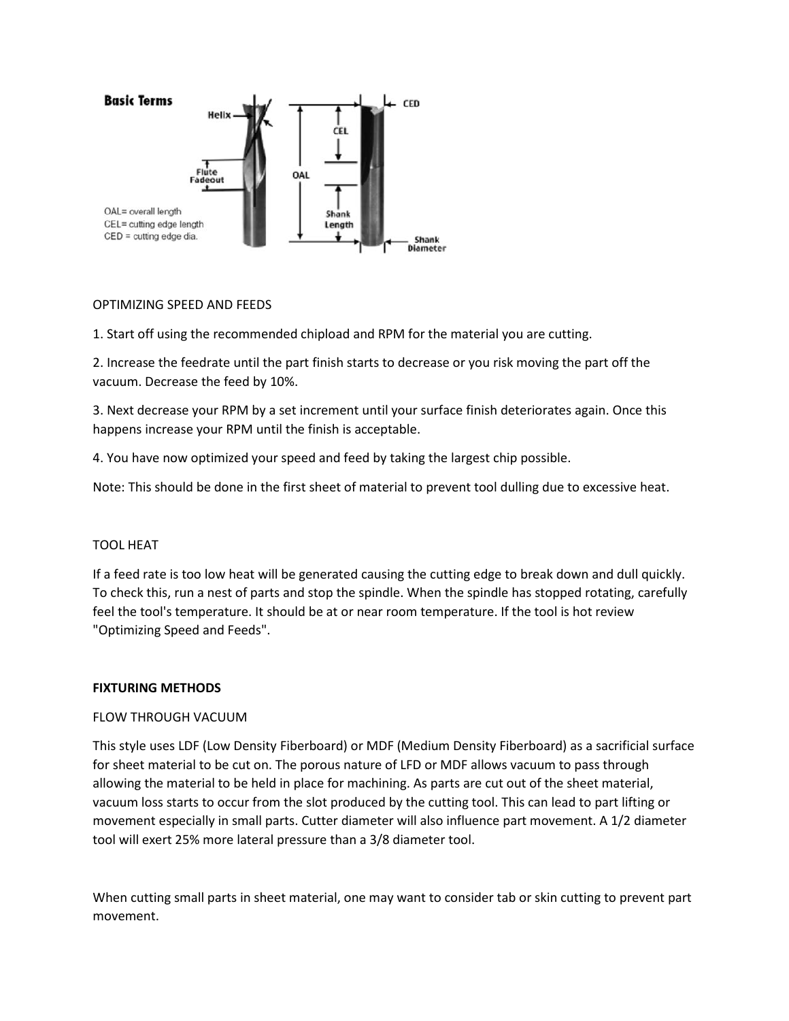

# OPTIMIZING SPEED AND FEEDS

1. Start off using the recommended chipload and RPM for the material you are cutting.

2. Increase the feedrate until the part finish starts to decrease or you risk moving the part off the vacuum. Decrease the feed by 10%.

3. Next decrease your RPM by a set increment until your surface finish deteriorates again. Once this happens increase your RPM until the finish is acceptable.

4. You have now optimized your speed and feed by taking the largest chip possible.

Note: This should be done in the first sheet of material to prevent tool dulling due to excessive heat.

### TOOL HEAT

If a feed rate is too low heat will be generated causing the cutting edge to break down and dull quickly. To check this, run a nest of parts and stop the spindle. When the spindle has stopped rotating, carefully feel the tool's temperature. It should be at or near room temperature. If the tool is hot review "Optimizing Speed and Feeds".

### **FIXTURING METHODS**

### FLOW THROUGH VACUUM

This style uses LDF (Low Density Fiberboard) or MDF (Medium Density Fiberboard) as a sacrificial surface for sheet material to be cut on. The porous nature of LFD or MDF allows vacuum to pass through allowing the material to be held in place for machining. As parts are cut out of the sheet material, vacuum loss starts to occur from the slot produced by the cutting tool. This can lead to part lifting or movement especially in small parts. Cutter diameter will also influence part movement. A 1/2 diameter tool will exert 25% more lateral pressure than a 3/8 diameter tool.

When cutting small parts in sheet material, one may want to consider tab or skin cutting to prevent part movement.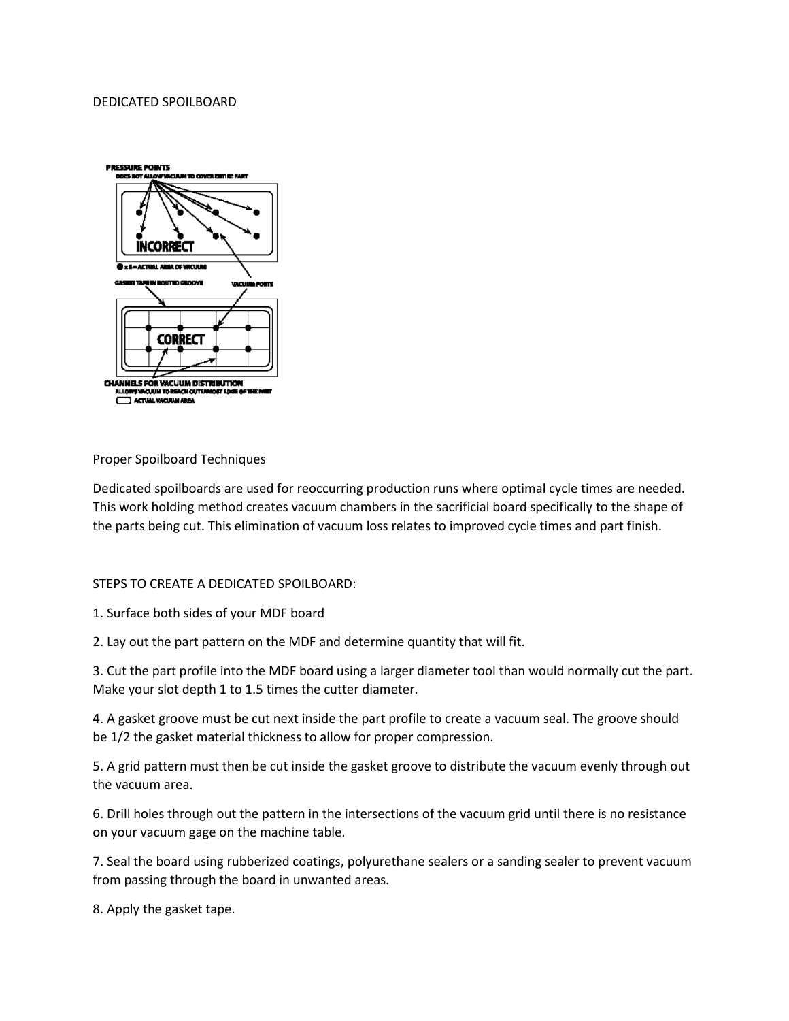#### DEDICATED SPOILBOARD



Proper Spoilboard Techniques

Dedicated spoilboards are used for reoccurring production runs where optimal cycle times are needed. This work holding method creates vacuum chambers in the sacrificial board specifically to the shape of the parts being cut. This elimination of vacuum loss relates to improved cycle times and part finish.

### STEPS TO CREATE A DEDICATED SPOILBOARD:

1. Surface both sides of your MDF board

2. Lay out the part pattern on the MDF and determine quantity that will fit.

3. Cut the part profile into the MDF board using a larger diameter tool than would normally cut the part. Make your slot depth 1 to 1.5 times the cutter diameter.

4. A gasket groove must be cut next inside the part profile to create a vacuum seal. The groove should be 1/2 the gasket material thickness to allow for proper compression.

5. A grid pattern must then be cut inside the gasket groove to distribute the vacuum evenly through out the vacuum area.

6. Drill holes through out the pattern in the intersections of the vacuum grid until there is no resistance on your vacuum gage on the machine table.

7. Seal the board using rubberized coatings, polyurethane sealers or a sanding sealer to prevent vacuum from passing through the board in unwanted areas.

8. Apply the gasket tape.